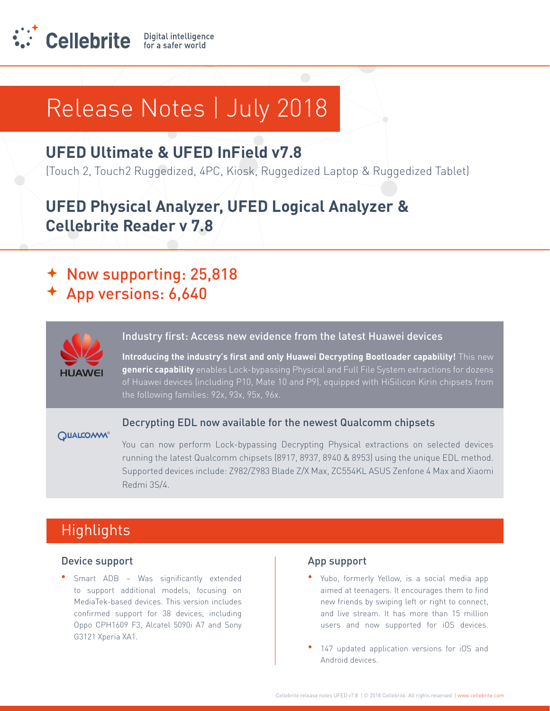

### **UFED Ultimate & UFED InField v7.8**

(Touch 2, Touch2 Ruggedized, 4PC, Kiosk, Ruggedized Laptop & Ruggedized Tablet)

## **UFED Physical Analyzer, UFED Logical Analyzer & Cellebrite Reader v 7.8**

- Now supporting: 25,818
- App versions: 6,640



### Industry first: Access new evidence from the latest Huawei devices

Introducing the industry's first and only Huawei Decrypting Bootloader capability! This new generic capability enables Lock-bypassing Physical and Full File System extractions for dozens of Huawei devices (including P10, Mate 10 and P9), equipped with HiSilicon Kirin chipsets from

### **QUALCOAM®**

### Decrypting EDL now available for the newest Qualcomm chipsets

You can now perform Lock-bypassing Decrypting Physical extractions on selected devices running the latest Qualcomm chipsets (8917, 8937, 8940 & 8953) using the unique EDL method. Supported devices include: Z982/Z983 Blade Z/X Max, ZC554KL ASUS Zenfone 4 Max and Xiaomi Redmi 3S/4.

### **Highlights**

### Device support

**•** Smart ADB – Was significantly extended to support additional models, focusing on MediaTek-based devices. This version includes confirmed support for 38 devices, including Oppo CPH1609 F3, Alcatel 5090i A7 and Sony G3121 Xperia XA1.

### App support

- Yubo, formerly Yellow, is a social media app aimed at teenagers. It encourages them to find new friends by swiping left or right to connect, and live stream. It has more than 15 million users and now supported for iOS devices.
- 147 updated application versions for iOS and Android devices.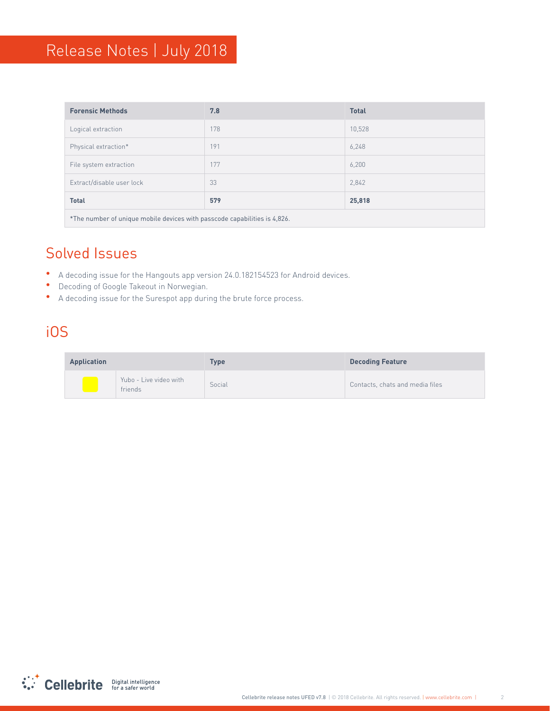| <b>Forensic Methods</b>                                                   | 7.8 | <b>Total</b> |
|---------------------------------------------------------------------------|-----|--------------|
| Logical extraction                                                        | 178 | 10,528       |
| Physical extraction*                                                      | 191 | 6,248        |
| File system extraction                                                    | 177 | 6,200        |
| Extract/disable user lock                                                 | 33  | 2,842        |
| <b>Total</b>                                                              | 579 | 25,818       |
| *The number of unique mobile devices with passcode capabilities is 4,826. |     |              |

### **Solved Issues**

- A decoding issue for the Hangouts app version 24.0.182154523 for Android devices.
- Decoding of Google Takeout in Norwegian.
- A decoding issue for the Surespot app during the brute force process.

### iOS

| <b>Application</b> |                                   | Type   | <b>Decoding Feature</b>         |
|--------------------|-----------------------------------|--------|---------------------------------|
|                    | Yubo - Live video with<br>friends | Social | Contacts, chats and media files |

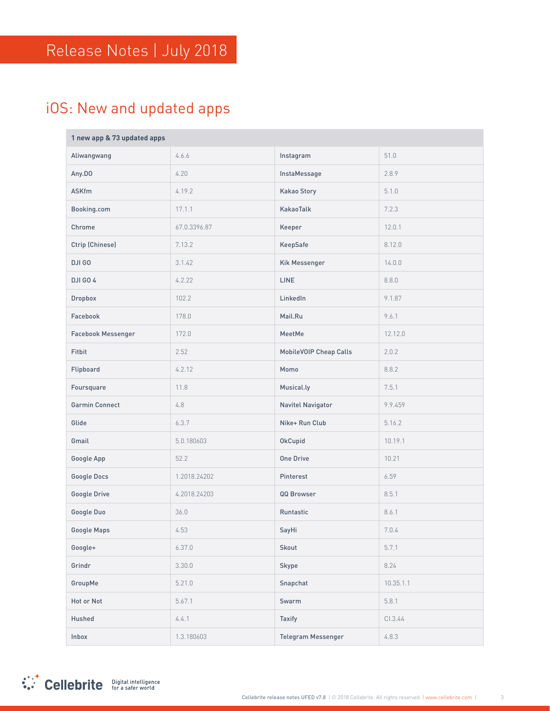## iOS: New and updated apps

| 1 new app & 73 updated apps |              |                        |           |
|-----------------------------|--------------|------------------------|-----------|
| Aliwangwang                 | 4.6.6        | Instagram              | 51.0      |
| Any.DO                      | 4.20         | InstaMessage           | 2.8.9     |
| <b>ASKfm</b>                | 4.19.2       | <b>Kakao Story</b>     | 5.1.0     |
| Booking.com                 | 17.1.1       | KakaoTalk              | 7.2.3     |
| Chrome                      | 67.0.3396.87 | Keeper                 | 12.0.1    |
| Ctrip (Chinese)             | 7.13.2       | KeepSafe               | 8.12.0    |
| DJI GO                      | 3.1.42       | Kik Messenger          | 14.0.0    |
| <b>DJI GO 4</b>             | 4.2.22       | <b>LINE</b>            | 8.8.0     |
| Dropbox                     | 102.2        | LinkedIn               | 9.1.87    |
| Facebook                    | 178.0        | Mail.Ru                | 9.6.1     |
| <b>Facebook Messenger</b>   | 172.0        | MeetMe                 | 12.12.0   |
| Fitbit                      | 2.52         | MobileVOIP Cheap Calls | 2.0.2     |
| Flipboard                   | 4.2.12       | Momo                   | 8.8.2     |
| Foursquare                  | 11.8         | Musical.ly             | 7.5.1     |
| <b>Garmin Connect</b>       | 4.8          | Navitel Navigator      | 9.9.459   |
| Glide                       | 6.3.7        | Nike+ Run Club         | 5.16.2    |
| Gmail                       | 5.0.180603   | OkCupid                | 10.19.1   |
| Google App                  | 52.2         | <b>One Drive</b>       | 10.21     |
| Google Docs                 | 1.2018.24202 | Pinterest              | 6.59      |
| Google Drive                | 4.2018.24203 | QQ Browser             | 8.5.1     |
| Google Duo                  | 36.0         | Runtastic              | 8.6.1     |
| Google Maps                 | 4.53         | SayHi                  | 7.0.4     |
| Google+                     | 6.37.0       | Skout                  | 5.7.1     |
| Grindr                      | 3.30.0       | Skype                  | 8.24      |
| GroupMe                     | 5.21.0       | Snapchat               | 10.35.1.1 |
| Hot or Not                  | 5.67.1       | Swarm                  | 5.8.1     |
| Hushed                      | 4.4.1        | Taxify                 | Cl.3.44   |
| Inbox                       | 1.3.180603   | Telegram Messenger     | 4.8.3     |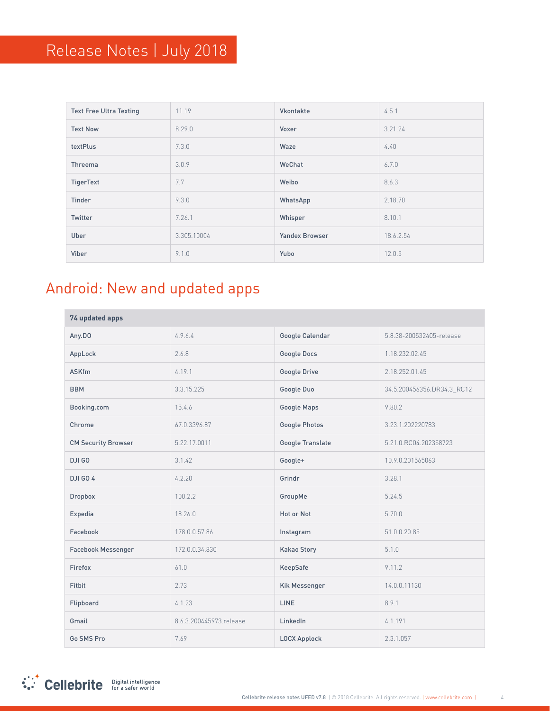| <b>Text Free Ultra Texting</b> | 11.19       | Vkontakte             | 4.5.1     |
|--------------------------------|-------------|-----------------------|-----------|
| <b>Text Now</b>                | 8.29.0      | Voxer                 | 3.21.24   |
| textPlus                       | 7.3.0       | Waze                  | 4.40      |
| Threema                        | 3.0.9       | WeChat                | 6.7.0     |
| TigerText                      | 7.7         | Weibo                 | 8.6.3     |
| Tinder                         | 9.3.0       | WhatsApp              | 2.18.70   |
| Twitter                        | 7.26.1      | Whisper               | 8.10.1    |
| Uber                           | 3.305.10004 | <b>Yandex Browser</b> | 18.6.2.54 |
| Viber                          | 9.1.0       | Yubo                  | 12.0.5    |

## Android: New and updated apps

| 74 updated apps            |                         |                         |                            |
|----------------------------|-------------------------|-------------------------|----------------------------|
| Any.DO                     | 4.9.6.4                 | Google Calendar         | 5.8.38-200532405-release   |
| AppLock                    | 2.6.8                   | <b>Google Docs</b>      | 1.18.232.02.45             |
| <b>ASKfm</b>               | 4.19.1                  | <b>Google Drive</b>     | 2.18.252.01.45             |
| <b>BBM</b>                 | 3.3.15.225              | Google Duo              | 34.5.200456356.DR34.3 RC12 |
| Booking.com                | 15.4.6                  | <b>Google Maps</b>      | 9.80.2                     |
| Chrome                     | 67.0.3396.87            | <b>Google Photos</b>    | 3.23.1.202220783           |
| <b>CM Security Browser</b> | 5.22.17.0011            | <b>Google Translate</b> | 5.21.0.RC04.202358723      |
| DJI GO                     | 3.1.42                  | Google+                 | 10.9.0.201565063           |
| <b>DJI GO 4</b>            | 4.2.20                  | Grindr                  | 3.28.1                     |
| <b>Dropbox</b>             | 100.2.2                 | GroupMe                 | 5.24.5                     |
| Expedia                    | 18.26.0                 | Hot or Not              | 5.70.0                     |
| Facebook                   | 178.0.0.57.86           | Instagram               | 51.0.0.20.85               |
| <b>Facebook Messenger</b>  | 172.0.0.34.830          | <b>Kakao Story</b>      | 5.1.0                      |
| Firefox                    | 61.0                    | KeepSafe                | 9.11.2                     |
| Fitbit                     | 2.73                    | <b>Kik Messenger</b>    | 14.0.0.11130               |
| Flipboard                  | 4.1.23                  | <b>LINE</b>             | 8.9.1                      |
| Gmail                      | 8.6.3.200445973.release | LinkedIn                | 4.1.191                    |
| Go SMS Pro                 | 7.69                    | <b>LOCX Applock</b>     | 2.3.1.057                  |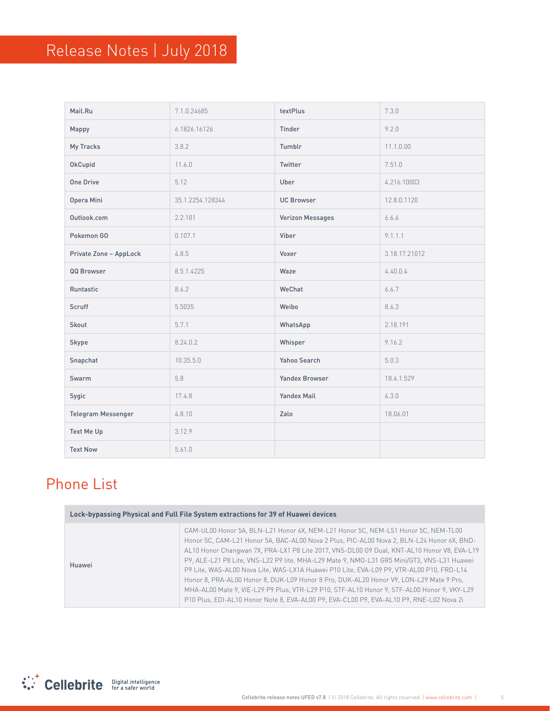| Mail.Ru                   | 7.1.0.24685      | textPlus           | 7.3.0         |
|---------------------------|------------------|--------------------|---------------|
| Mappy                     | 6.1826.16126     | Tinder             | 9.2.0         |
| My Tracks                 | 3.8.2            | Tumblr             | 11.1.0.00     |
| <b>OkCupid</b>            | 11.6.0           | Twitter            | 7.51.0        |
| <b>One Drive</b>          | 5.12             | Uber               | 4.216.10003   |
| Opera Mini                | 35.1.2254.128344 | <b>UC Browser</b>  | 12.8.0.1120   |
| Outlook.com               | 2.2.181          | Verizon Messages   | 6.6.6         |
| Pokemon GO                | 0.107.1          | Viber              | 9.1.1.1       |
| Private Zone - AppLock    | 4.8.5            | Voxer              | 3.18.17.21012 |
| QQ Browser                | 8.5.1.4225       | Waze               | 4.40.0.4      |
| Runtastic                 | 8.6.2            | WeChat             | 6.6.7         |
| Scruff                    | 5.5035           | Weibo              | 8.6.3         |
| Skout                     | 5.7.1            | WhatsApp           | 2.18.191      |
| Skype                     | 8.24.0.2         | Whisper            | 9.16.2        |
| Snapchat                  | 10.35.5.0        | Yahoo Search       | 5.0.3         |
| Swarm                     | 5.8              | Yandex Browser     | 18.4.1.529    |
| Sygic                     | 17.4.8           | <b>Yandex Mail</b> | 4.3.0         |
| <b>Telegram Messenger</b> | 4.8.10           | Zalo               | 18.06.01      |
| Text Me Up                | 3.12.9           |                    |               |
| <b>Text Now</b>           | 5.61.0           |                    |               |

## **Phone List**

| Lock-bypassing Physical and Full File System extractions for 39 of Huawei devices |                                                                                                                                                                                                                                                                                                                                                                                                                                                                                                                                                                                                                                                                                                                                                           |  |
|-----------------------------------------------------------------------------------|-----------------------------------------------------------------------------------------------------------------------------------------------------------------------------------------------------------------------------------------------------------------------------------------------------------------------------------------------------------------------------------------------------------------------------------------------------------------------------------------------------------------------------------------------------------------------------------------------------------------------------------------------------------------------------------------------------------------------------------------------------------|--|
| Huawei                                                                            | CAM-UL00 Honor 5A, BLN-L21 Honor 6X, NEM-L21 Honor 5C, NEM-L51 Honor 5C, NEM-TL00<br>Honor 5C, CAM-L21 Honor 5A, BAC-AL00 Nova 2 Plus, PIC-AL00 Nova 2, BLN-L24 Honor 6X, BND-<br>AL10 Honor Changwan 7X, PRA-LX1 P8 Lite 2017, VNS-DL00 G9 Dual, KNT-AL10 Honor V8, EVA-L19<br>P9, ALE-L21 P8 Lite, VNS-L22 P9 lite, MHA-L29 Mate 9, NMO-L31 GR5 Mini/GT3, VNS-L31 Huawei<br>P9 Lite, WAS-AL00 Nova Lite, WAS-LX1A Huawei P10 Lite, EVA-L09 P9, VTR-AL00 P10, FRD-L14<br>Honor 8, PRA-AL00 Honor 8, DUK-L09 Honor 8 Pro, DUK-AL20 Honor V9, LON-L29 Mate 9 Pro,<br>MHA-AL00 Mate 9, VIE-L29 P9 Plus, VTR-L29 P10, STF-AL10 Honor 9, STF-AL00 Honor 9, VKY-L29<br>P10 Plus, EDI-AL10 Honor Note 8, EVA-AL00 P9, EVA-CL00 P9, EVA-AL10 P9, RNE-L02 Nova 2i |  |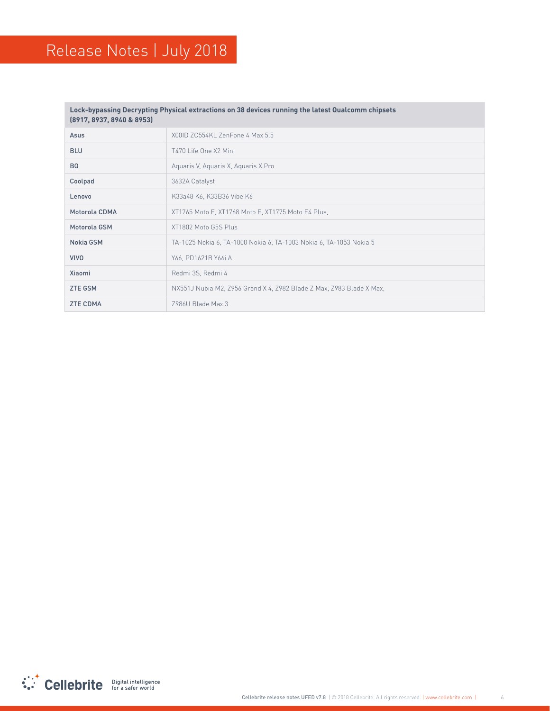#### Lock-bypassing Decrypting Physical extractions on 38 devices running the latest Qualcomm chipsets **(8953 & 8940 8937, 8917,)**

| Asus            | X00ID ZC554KL ZenFone 4 Max 5.5                                      |
|-----------------|----------------------------------------------------------------------|
| <b>BLU</b>      | T470 Life One X2 Mini                                                |
| <b>BQ</b>       | Aguaris V, Aguaris X, Aguaris X Pro                                  |
| Coolpad         | 3632A Catalyst                                                       |
| Lenovo          | K33a48 K6, K33B36 Vibe K6                                            |
| Motorola CDMA   | XT1765 Moto E, XT1768 Moto E, XT1775 Moto E4 Plus,                   |
| Motorola GSM    | XT1802 Moto G5S Plus                                                 |
| Nokia GSM       | TA-1025 Nokia 6, TA-1000 Nokia 6, TA-1003 Nokia 6, TA-1053 Nokia 5   |
| <b>VIVO</b>     | Y66, PD1621B Y66i A                                                  |
| Xiaomi          | Redmi 3S, Redmi 4                                                    |
| <b>ZTE GSM</b>  | NX551J Nubia M2, Z956 Grand X 4, Z982 Blade Z Max, Z983 Blade X Max, |
| <b>ZTE CDMA</b> | 7986U Blade Max 3                                                    |

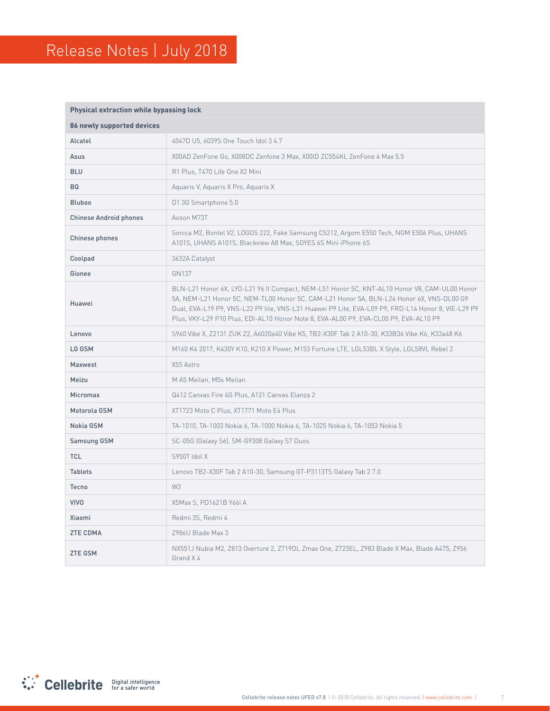#### **Physical extraction while bypassing lock**

| 86 newly supported devices    |                                                                                                                                                                                                                                                                                                                                                                                        |
|-------------------------------|----------------------------------------------------------------------------------------------------------------------------------------------------------------------------------------------------------------------------------------------------------------------------------------------------------------------------------------------------------------------------------------|
| Alcatel                       | 4047D U5, 6039S One Touch Idol 3 4.7                                                                                                                                                                                                                                                                                                                                                   |
| Asus                          | X00AD ZenFone Go, X008DC Zenfone 3 Max, X00ID ZC554KL ZenFone 4 Max 5.5                                                                                                                                                                                                                                                                                                                |
| <b>BLU</b>                    | R1 Plus, T470 Life One X2 Mini                                                                                                                                                                                                                                                                                                                                                         |
| <b>BQ</b>                     | Aquaris V, Aquaris X Pro, Aquaris X                                                                                                                                                                                                                                                                                                                                                    |
| <b>Bluboo</b>                 | D1 3G Smartphone 5.0                                                                                                                                                                                                                                                                                                                                                                   |
| <b>Chinese Android phones</b> | Aoson M73T                                                                                                                                                                                                                                                                                                                                                                             |
| Chinese phones                | Sonica M2, Bontel V2, LOGOS 222, Fake Samsung C5212, Argom E550 Tech, NGM E506 Plus, UHANS<br>A101S, UHANS A101S, Blackview A8 Max, SOYES 6S Mini iPhone 6S                                                                                                                                                                                                                            |
| Coolpad                       | 3632A Catalyst                                                                                                                                                                                                                                                                                                                                                                         |
| Gionee                        | GN137                                                                                                                                                                                                                                                                                                                                                                                  |
| Huawei                        | BLN-L21 Honor 6X, LYO-L21 Y6 II Compact, NEM-L51 Honor 5C, KNT-AL10 Honor V8, CAM-UL00 Honor<br>5A, NEM-L21 Honor 5C, NEM-TL00 Honor 5C, CAM-L21 Honor 5A, BLN-L24 Honor 6X, VNS-DL00 G9<br>Dual, EVA-L19 P9, VNS-L22 P9 lite, VNS-L31 Huawei P9 Lite, EVA-L09 P9, FRD-L14 Honor 8, VIE-L29 P9<br>Plus, VKY-L29 P10 Plus, EDI-AL10 Honor Note 8, EVA-AL00 P9, EVA-CL00 P9, EVA-AL10 P9 |
| Lenovo                        | S960 Vibe X, Z2131 ZUK Z2, A6020a40 Vibe K5, TB2-X30F Tab 2 A10-30, K33B36 Vibe K6, K33a48 K6                                                                                                                                                                                                                                                                                          |
| LG GSM                        | M160 K4 2017, K430Y K10, K210 X Power, M153 Fortune LTE, LGL53BL X Style, LGL58VL Rebel 2                                                                                                                                                                                                                                                                                              |
| Maxwest                       | X55 Astro                                                                                                                                                                                                                                                                                                                                                                              |
| Meizu                         | M A5 Meilan, M5s Meilan                                                                                                                                                                                                                                                                                                                                                                |
| <b>Micromax</b>               | Q412 Canvas Fire 4G Plus, A121 Canvas Elanza 2                                                                                                                                                                                                                                                                                                                                         |
| Motorola GSM                  | XT1723 Moto C Plus, XT1771 Moto E4 Plus                                                                                                                                                                                                                                                                                                                                                |
| Nokia GSM                     | TA-1010, TA-1003 Nokia 6, TA-1000 Nokia 6, TA-1025 Nokia 6, TA-1053 Nokia 5                                                                                                                                                                                                                                                                                                            |
| Samsung GSM                   | SC-05G (Galaxy S6), SM-G9308 Galaxy S7 Duos                                                                                                                                                                                                                                                                                                                                            |
| <b>TCL</b>                    | S950T Idol X                                                                                                                                                                                                                                                                                                                                                                           |
| <b>Tablets</b>                | Lenovo TB2-X30F Tab 2 A10-30, Samsung GT-P3113TS Galaxy Tab 2 7.0                                                                                                                                                                                                                                                                                                                      |
| <b>Tecno</b>                  | W <sub>2</sub>                                                                                                                                                                                                                                                                                                                                                                         |
| <b>VIVO</b>                   | X5Max S, PD1621B Y66i A                                                                                                                                                                                                                                                                                                                                                                |
| Xiaomi                        | Redmi 3S, Redmi 4                                                                                                                                                                                                                                                                                                                                                                      |
| <b>ZTE CDMA</b>               | Z986U Blade Max 3                                                                                                                                                                                                                                                                                                                                                                      |
| <b>ZTE GSM</b>                | NX551J Nubia M2, Z813 Overture 2, Z719DL Zmax One, Z723EL, Z983 Blade X Max, Blade A475, Z956<br>Grand X4                                                                                                                                                                                                                                                                              |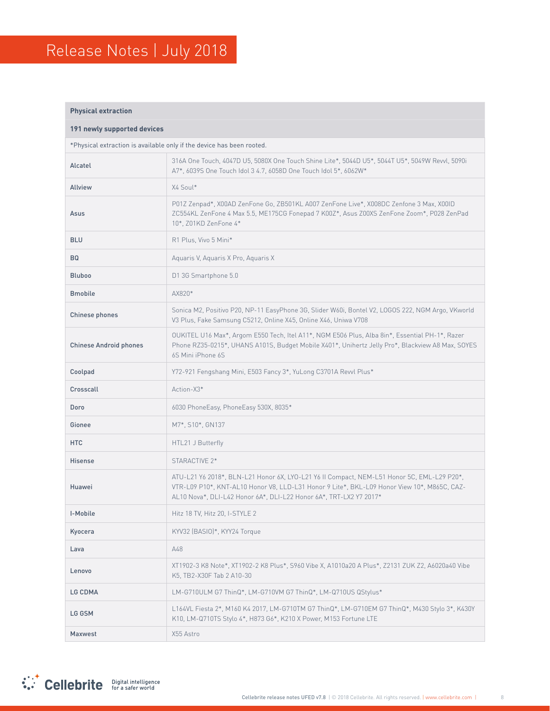#### **Physical extraction**

| 191 newly supported devices                                           |                                                                                                                                                                                                                                                                 |  |
|-----------------------------------------------------------------------|-----------------------------------------------------------------------------------------------------------------------------------------------------------------------------------------------------------------------------------------------------------------|--|
| *Physical extraction is available only if the device has been rooted. |                                                                                                                                                                                                                                                                 |  |
| Alcatel                                                               | 316A One Touch, 4047D U5, 5080X One Touch Shine Lite*, 5044D U5*, 5044T U5*, 5049W Revvl, 5090i<br>A7*, 6039S One Touch Idol 3 4.7, 6058D One Touch Idol 5*, 6062W*                                                                                             |  |
| <b>Allview</b>                                                        | X4 Soul*                                                                                                                                                                                                                                                        |  |
| Asus                                                                  | P01Z Zenpad*, X00AD ZenFone Go, ZB501KL A007 ZenFone Live*, X008DC Zenfone 3 Max, X00ID<br>ZC554KL ZenFone 4 Max 5.5, ME175CG Fonepad 7 K00Z*, Asus Z00XS ZenFone Zoom*, P028 ZenPad<br>10*, Z01KD ZenFone 4*                                                   |  |
| <b>BLU</b>                                                            | R1 Plus, Vivo 5 Mini*                                                                                                                                                                                                                                           |  |
| <b>BQ</b>                                                             | Aquaris V, Aquaris X Pro, Aquaris X                                                                                                                                                                                                                             |  |
| <b>Bluboo</b>                                                         | D1 3G Smartphone 5.0                                                                                                                                                                                                                                            |  |
| <b>Bmobile</b>                                                        | AX820*                                                                                                                                                                                                                                                          |  |
| Chinese phones                                                        | Sonica M2, Positivo P20, NP-11 EasyPhone 3G, Slider W60i, Bontel V2, LOGOS 222, NGM Argo, VKworld<br>V3 Plus, Fake Samsung C5212, Online X45, Online X46, Uniwa V708                                                                                            |  |
| <b>Chinese Android phones</b>                                         | OUKITEL U16 Max*, Argom E550 Tech, Itel A11*, NGM E506 Plus, Alba 8in*, Essential PH-1*, Razer<br>Phone RZ35-0215*, UHANS A101S, Budget Mobile X401*, Unihertz Jelly Pro*, Blackview A8 Max, SOYES<br>6S Mini iPhone 6S                                         |  |
| Coolpad                                                               | Y72-921 Fengshang Mini, E503 Fancy 3*, YuLong C3701A Revvl Plus*                                                                                                                                                                                                |  |
| Crosscall                                                             | Action-X3*                                                                                                                                                                                                                                                      |  |
| Doro                                                                  | 6030 PhoneEasy, PhoneEasy 530X, 8035*                                                                                                                                                                                                                           |  |
| Gionee                                                                | M7*, S10*, GN137                                                                                                                                                                                                                                                |  |
| <b>HTC</b>                                                            | HTL21 J Butterfly                                                                                                                                                                                                                                               |  |
| Hisense                                                               | STARACTIVE 2*                                                                                                                                                                                                                                                   |  |
| Huawei                                                                | ATU-L21 Y6 2018*, BLN-L21 Honor 6X, LYO-L21 Y6 II Compact, NEM-L51 Honor 5C, EML-L29 P20*,<br>VTR-L09 P10*, KNT-AL10 Honor V8, LLD-L31 Honor 9 Lite*, BKL-L09 Honor View 10*, M865C, CAZ-<br>AL10 Nova*, DLI-L42 Honor 6A*, DLI-L22 Honor 6A*, TRT-LX2 Y7 2017* |  |
| I-Mobile                                                              | Hitz 18 TV, Hitz 20, I-STYLE 2                                                                                                                                                                                                                                  |  |
| Kyocera                                                               | KYV32 (BASIO)*, KYY24 Torque                                                                                                                                                                                                                                    |  |
| Lava                                                                  | A48                                                                                                                                                                                                                                                             |  |
| Lenovo                                                                | XT1902-3 K8 Note*, XT1902-2 K8 Plus*, S960 Vibe X, A1010a20 A Plus*, Z2131 ZUK Z2, A6020a40 Vibe<br>K5, TB2-X30F Tab 2 A10-30                                                                                                                                   |  |
| <b>LG CDMA</b>                                                        | LM-G710ULM G7 ThinQ*, LM-G710VM G7 ThinQ*, LM-Q710US QStylus*                                                                                                                                                                                                   |  |
| LG GSM                                                                | L164VL Fiesta 2*, M160 K4 2017, LM-G710TM G7 ThinQ*, LM-G710EM G7 ThinQ*, M430 Stylo 3*, K430Y<br>K10, LM-Q710TS Stylo 4*, H873 G6*, K210 X Power, M153 Fortune LTE                                                                                             |  |
| Maxwest                                                               | X55 Astro                                                                                                                                                                                                                                                       |  |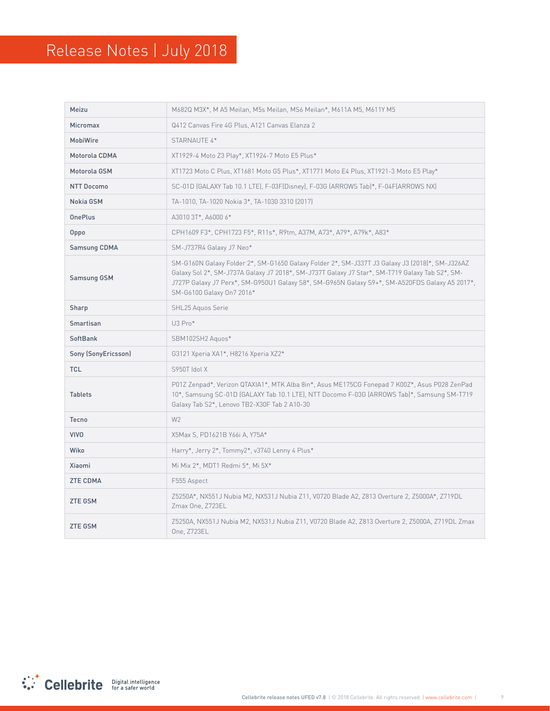| Meizu               | M682Q M3X*, M A5 Meilan, M5s Meilan, MS6 Meilan*, M611A M5, M611Y M5                                                                                                                                                                                                                                                            |
|---------------------|---------------------------------------------------------------------------------------------------------------------------------------------------------------------------------------------------------------------------------------------------------------------------------------------------------------------------------|
| <b>Micromax</b>     | Q412 Canvas Fire 4G Plus, A121 Canvas Elanza 2                                                                                                                                                                                                                                                                                  |
| <b>MobiWire</b>     | STARNAUTE 4*                                                                                                                                                                                                                                                                                                                    |
| Motorola CDMA       | XT1929-4 Moto Z3 Play*, XT1924-7 Moto E5 Plus*                                                                                                                                                                                                                                                                                  |
| Motorola GSM        | XT1723 Moto C Plus, XT1681 Moto G5 Plus*, XT1771 Moto E4 Plus, XT1921-3 Moto E5 Play*                                                                                                                                                                                                                                           |
| <b>NTT Docomo</b>   | SC-01D (GALAXY Tab 10.1 LTE), F-03F(Disney), F-03G (ARROWS Tab)*, F-04F(ARROWS NX)                                                                                                                                                                                                                                              |
| Nokia GSM           | TA-1010, TA-1020 Nokia 3*, TA-1030 3310 (2017)                                                                                                                                                                                                                                                                                  |
| <b>OnePlus</b>      | A3010 3T*, A6000 6*                                                                                                                                                                                                                                                                                                             |
| Oppo                | CPH1609 F3*, CPH1723 F5*, R11s*, R9tm, A37M, A73*, A79*, A79k*, A83*                                                                                                                                                                                                                                                            |
| <b>Samsung CDMA</b> | SM-J737R4 Galaxy J7 Neo*                                                                                                                                                                                                                                                                                                        |
| Samsung GSM         | SM-G160N Galaxy Folder 2*, SM-G1650 Galaxy Folder 2*, SM-J337T J3 Galaxy J3 (2018)*, SM-J326AZ<br>Galaxy Sol 2*, SM-J737A Galaxy J7 2018*, SM-J737T Galaxy J7 Star*, SM-T719 Galaxy Tab S2*, SM-<br>J727P Galaxy J7 Perx*, SM-G950U1 Galaxy S8*, SM-G965N Galaxy S9+*, SM-A520FDS Galaxy A5 2017*,<br>SM-G6100 Galaxy On7 2016* |
| Sharp               | SHL25 Aguos Serie                                                                                                                                                                                                                                                                                                               |
| Smartisan           | U3 Pro*                                                                                                                                                                                                                                                                                                                         |
| <b>SoftBank</b>     | SBM102SH2 Aguos*                                                                                                                                                                                                                                                                                                                |
| Sony (SonyEricsson) | G3121 Xperia XA1*, H8216 Xperia XZ2*                                                                                                                                                                                                                                                                                            |
| <b>TCL</b>          | S950T Idol X                                                                                                                                                                                                                                                                                                                    |
| <b>Tablets</b>      | P01Z Zenpad*, Verizon QTAXIA1*, MTK Alba 8in*, Asus ME175CG Fonepad 7 K00Z*, Asus P028 ZenPad<br>10*, Samsung SC-01D (GALAXY Tab 10.1 LTE), NTT Docomo F-03G (ARROWS Tab)*, Samsung SM-T719<br>Galaxy Tab S2*, Lenovo TB2-X30F Tab 2 A10-30                                                                                     |
| Tecno               | W <sub>2</sub>                                                                                                                                                                                                                                                                                                                  |
| <b>VIVO</b>         | X5Max S, PD1621B Y66i A, Y75A*                                                                                                                                                                                                                                                                                                  |
| Wiko                | Harry*, Jerry 2*, Tommy2*, v3740 Lenny 4 Plus*                                                                                                                                                                                                                                                                                  |
| Xiaomi              | Mi Mix 2*, MDT1 Redmi 5*, Mi 5X*                                                                                                                                                                                                                                                                                                |
| <b>ZTE CDMA</b>     | F555 Aspect                                                                                                                                                                                                                                                                                                                     |
| <b>ZTE GSM</b>      | Z5250A*, NX551J Nubia M2, NX531J Nubia Z11, V0720 Blade A2, Z813 Overture 2, Z5000A*, Z719DL<br>Zmax One, Z723EL                                                                                                                                                                                                                |
| <b>ZTE GSM</b>      | Z5250A, NX551J Nubia M2, NX531J Nubia Z11, V0720 Blade A2, Z813 Overture 2, Z5000A, Z719DL Zmax<br>One, Z723EL                                                                                                                                                                                                                  |

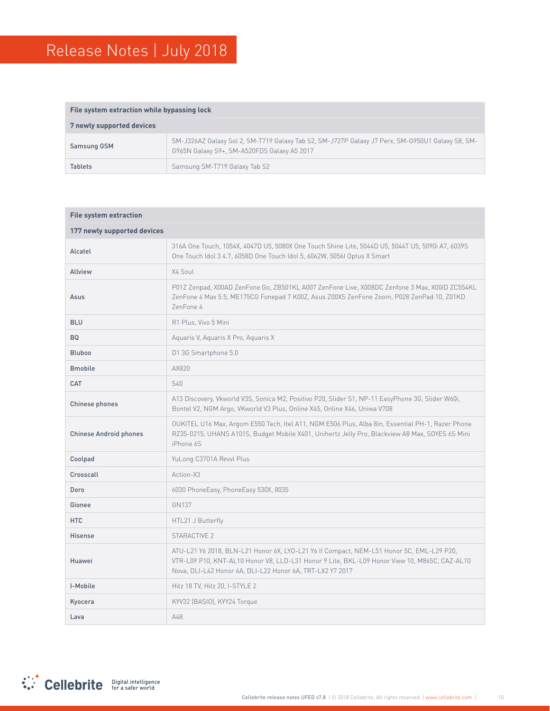| File system extraction while bypassing lock |                                                                                                                                                 |  |
|---------------------------------------------|-------------------------------------------------------------------------------------------------------------------------------------------------|--|
| 7 newly supported devices                   |                                                                                                                                                 |  |
| Samsung GSM                                 | SM-J326AZ Galaxy Sol 2, SM-T719 Galaxy Tab S2, SM-J727P Galaxy J7 Perx, SM-G950U1 Galaxy S8, SM-<br>G965N Galaxy S9+, SM-A520FDS Galaxy A5 2017 |  |
| <b>Tablets</b>                              | Samsung SM-T719 Galaxy Tab S2                                                                                                                   |  |

| <b>File system extraction</b> |                                                                                                                                                                                                                                                       |  |  |
|-------------------------------|-------------------------------------------------------------------------------------------------------------------------------------------------------------------------------------------------------------------------------------------------------|--|--|
| 177 newly supported devices   |                                                                                                                                                                                                                                                       |  |  |
| Alcatel                       | 316A One Touch, 1054X, 4047D U5, 5080X One Touch Shine Lite, 5044D U5, 5044T U5, 5090i A7, 6039S<br>One Touch Idol 3 4.7, 6058D One Touch Idol 5, 6062W, 5056I Optus X Smart                                                                          |  |  |
| <b>Allview</b>                | X4 Soul                                                                                                                                                                                                                                               |  |  |
| Asus                          | P01Z Zenpad, X00AD ZenFone Go, ZB501KL A007 ZenFone Live, X008DC Zenfone 3 Max, X00ID ZC554KL<br>ZenFone 4 Max 5.5, ME175CG Fonepad 7 K00Z, Asus Z00XS ZenFone Zoom, P028 ZenPad 10, Z01KD<br>ZenFone 4                                               |  |  |
| <b>BLU</b>                    | R1 Plus, Vivo 5 Mini                                                                                                                                                                                                                                  |  |  |
| <b>BQ</b>                     | Aguaris V, Aguaris X Pro, Aguaris X                                                                                                                                                                                                                   |  |  |
| <b>Bluboo</b>                 | D1 3G Smartphone 5.0                                                                                                                                                                                                                                  |  |  |
| <b>Bmobile</b>                | AX820                                                                                                                                                                                                                                                 |  |  |
| CAT                           | S40                                                                                                                                                                                                                                                   |  |  |
| Chinese phones                | A13 Discovery, Vkworld V3S, Sonica M2, Positivo P20, Slider S1, NP-11 EasyPhone 3G, Slider W60i,<br>Bontel V2, NGM Argo, VKworld V3 Plus, Online X45, Online X46, Uniwa V708                                                                          |  |  |
| <b>Chinese Android phones</b> | OUKITEL U16 Max, Argom E550 Tech, Itel A11, NGM E506 Plus, Alba 8in, Essential PH-1, Razer Phone<br>RZ35-0215, UHANS A101S, Budget Mobile X401, Unihertz Jelly Pro, Blackview A8 Max, SOYES 6S Mini<br>iPhone 6S                                      |  |  |
| Coolpad                       | YuLong C3701A Revvl Plus                                                                                                                                                                                                                              |  |  |
| Crosscall                     | Action-X3                                                                                                                                                                                                                                             |  |  |
| Doro                          | 6030 PhoneEasy, PhoneEasy 530X, 8035                                                                                                                                                                                                                  |  |  |
| Gionee                        | GN137                                                                                                                                                                                                                                                 |  |  |
| <b>HTC</b>                    | HTL21 J Butterfly                                                                                                                                                                                                                                     |  |  |
| <b>Hisense</b>                | STARACTIVE 2                                                                                                                                                                                                                                          |  |  |
| Huawei                        | ATU-L21 Y6 2018, BLN-L21 Honor 6X, LYO-L21 Y6 II Compact, NEM-L51 Honor 5C, EML-L29 P20,<br>VTR-L09 P10, KNT-AL10 Honor V8, LLD-L31 Honor 9 Lite, BKL-L09 Honor View 10, M865C, CAZ-AL10<br>Nova, DLI-L42 Honor 6A, DLI-L22 Honor 6A, TRT-LX2 Y7 2017 |  |  |
| I-Mobile                      | Hitz 18 TV, Hitz 20, I-STYLE 2                                                                                                                                                                                                                        |  |  |
| Kyocera                       | KYV32 (BASIO), KYY24 Torque                                                                                                                                                                                                                           |  |  |
| Lava                          | A48                                                                                                                                                                                                                                                   |  |  |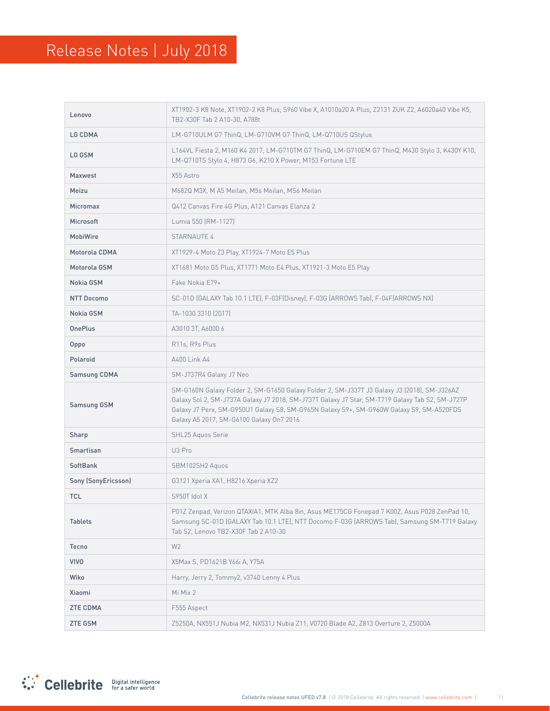| Lenovo              | XT1902-3 K8 Note, XT1902-2 K8 Plus, S960 Vibe X, A1010a20 A Plus, Z2131 ZUK Z2, A6020a40 Vibe K5,<br>TB2-X30F Tab 2 A10-30, A788t                                                                                                                                                                                                      |  |
|---------------------|----------------------------------------------------------------------------------------------------------------------------------------------------------------------------------------------------------------------------------------------------------------------------------------------------------------------------------------|--|
| <b>LG CDMA</b>      | LM-G710ULM G7 ThinQ, LM-G710VM G7 ThinQ, LM-Q710US QStylus                                                                                                                                                                                                                                                                             |  |
| LG GSM              | L164VL Fiesta 2, M160 K4 2017, LM-G710TM G7 ThinQ, LM-G710EM G7 ThinQ, M430 Stylo 3, K430Y K10,<br>LM-Q710TS Stylo 4, H873 G6, K210 X Power, M153 Fortune LTE                                                                                                                                                                          |  |
| Maxwest             | X55 Astro                                                                                                                                                                                                                                                                                                                              |  |
| Meizu               | M682Q M3X, M A5 Meilan, M5s Meilan, MS6 Meilan                                                                                                                                                                                                                                                                                         |  |
| <b>Micromax</b>     | Q412 Canvas Fire 4G Plus, A121 Canvas Elanza 2                                                                                                                                                                                                                                                                                         |  |
| <b>Microsoft</b>    | Lumia 550 (RM-1127)                                                                                                                                                                                                                                                                                                                    |  |
| <b>MobiWire</b>     | STARNAUTE 4                                                                                                                                                                                                                                                                                                                            |  |
| Motorola CDMA       | XT1929-4 Moto Z3 Play, XT1924-7 Moto E5 Plus                                                                                                                                                                                                                                                                                           |  |
| Motorola GSM        | XT1681 Moto G5 Plus, XT1771 Moto E4 Plus, XT1921-3 Moto E5 Play                                                                                                                                                                                                                                                                        |  |
| Nokia GSM           | Fake Nokia E79+                                                                                                                                                                                                                                                                                                                        |  |
| <b>NTT Docomo</b>   | SC-01D [GALAXY Tab 10.1 LTE], F-03F[Disney], F-03G [ARROWS Tab], F-04F[ARROWS NX]                                                                                                                                                                                                                                                      |  |
| Nokia GSM           | TA-1030 3310 [2017]                                                                                                                                                                                                                                                                                                                    |  |
| <b>OnePlus</b>      | A3010 3T, A6000 6                                                                                                                                                                                                                                                                                                                      |  |
| Oppo                | R <sub>11s</sub> , R <sub>9s</sub> Plus                                                                                                                                                                                                                                                                                                |  |
| Polaroid            | A400 Link A4                                                                                                                                                                                                                                                                                                                           |  |
| <b>Samsung CDMA</b> | SM-J737R4 Galaxy J7 Neo                                                                                                                                                                                                                                                                                                                |  |
| Samsung GSM         | SM-G160N Galaxy Folder 2, SM-G1650 Galaxy Folder 2, SM-J337T J3 Galaxy J3 (2018), SM-J326AZ<br>Galaxy Sol 2, SM-J737A Galaxy J7 2018, SM-J737T Galaxy J7 Star, SM-T719 Galaxy Tab S2, SM-J727P<br>Galaxy J7 Perx, SM-G950U1 Galaxy S8, SM-G965N Galaxy S9+, SM-G960W Galaxy S9, SM-A520FDS<br>Galaxy A5 2017, SM-G6100 Galaxy On7 2016 |  |
| Sharp               | SHL25 Aquos Serie                                                                                                                                                                                                                                                                                                                      |  |
| Smartisan           | U3 Pro                                                                                                                                                                                                                                                                                                                                 |  |
| <b>SoftBank</b>     | SBM102SH2 Aquos                                                                                                                                                                                                                                                                                                                        |  |
| Sony (SonyEricsson) | G3121 Xperia XA1, H8216 Xperia XZ2                                                                                                                                                                                                                                                                                                     |  |
| <b>TCL</b>          | S950T Idol X                                                                                                                                                                                                                                                                                                                           |  |
| <b>Tablets</b>      | P01Z Zenpad, Verizon QTAXIA1, MTK Alba 8in, Asus ME175CG Fonepad 7 K00Z, Asus P028 ZenPad 10,<br>Samsung SC-01D (GALAXY Tab 10.1 LTE), NTT Docomo F-03G (ARROWS Tab), Samsung SM-T719 Galaxy<br>Tab S2, Lenovo TB2-X30F Tab 2 A10-30                                                                                                   |  |
| Tecno               | W <sub>2</sub>                                                                                                                                                                                                                                                                                                                         |  |
| <b>VIVO</b>         | X5Max S, PD1621B Y66i A, Y75A                                                                                                                                                                                                                                                                                                          |  |
| Wiko                | Harry, Jerry 2, Tommy2, v3740 Lenny 4 Plus                                                                                                                                                                                                                                                                                             |  |
| Xiaomi              | Mi Mix 2                                                                                                                                                                                                                                                                                                                               |  |
| <b>ZTE CDMA</b>     | F555 Aspect                                                                                                                                                                                                                                                                                                                            |  |
| <b>ZTE GSM</b>      | Z5250A, NX551J Nubia M2, NX531J Nubia Z11, V0720 Blade A2, Z813 Overture 2, Z5000A                                                                                                                                                                                                                                                     |  |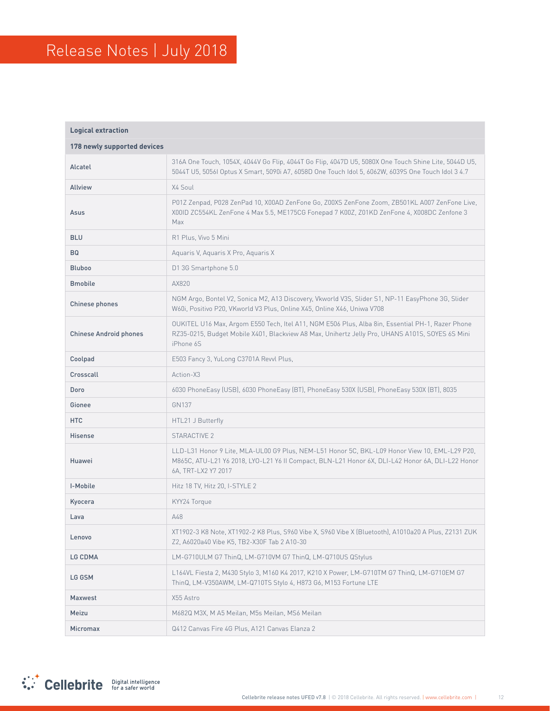| <b>Logical extraction</b>     |                                                                                                                                                                                                                          |  |  |
|-------------------------------|--------------------------------------------------------------------------------------------------------------------------------------------------------------------------------------------------------------------------|--|--|
| 178 newly supported devices   |                                                                                                                                                                                                                          |  |  |
| Alcatel                       | 316A One Touch, 1054X, 4044V Go Flip, 4044T Go Flip, 4047D U5, 5080X One Touch Shine Lite, 5044D U5,<br>5044T U5, 5056I Optus X Smart, 5090i A7, 6058D One Touch Idol 5, 6062W, 6039S One Touch Idol 3 4.7               |  |  |
| <b>Allview</b>                | X4 Soul                                                                                                                                                                                                                  |  |  |
| Asus                          | P01Z Zenpad, P028 ZenPad 10, X00AD ZenFone Go, Z00XS ZenFone Zoom, ZB501KL A007 ZenFone Live,<br>X00ID ZC554KL ZenFone 4 Max 5.5, ME175CG Fonepad 7 K00Z, Z01KD ZenFone 4, X008DC Zenfone 3<br>Max                       |  |  |
| <b>BLU</b>                    | R1 Plus, Vivo 5 Mini                                                                                                                                                                                                     |  |  |
| <b>BQ</b>                     | Aquaris V, Aquaris X Pro, Aquaris X                                                                                                                                                                                      |  |  |
| <b>Bluboo</b>                 | D1 3G Smartphone 5.0                                                                                                                                                                                                     |  |  |
| <b>Bmobile</b>                | AX820                                                                                                                                                                                                                    |  |  |
| Chinese phones                | NGM Argo, Bontel V2, Sonica M2, A13 Discovery, Vkworld V3S, Slider S1, NP-11 EasyPhone 3G, Slider<br>W60i, Positivo P20, VKworld V3 Plus, Online X45, Online X46, Uniwa V708                                             |  |  |
| <b>Chinese Android phones</b> | OUKITEL U16 Max, Argom E550 Tech, Itel A11, NGM E506 Plus, Alba 8in, Essential PH-1, Razer Phone<br>RZ35-0215, Budget Mobile X401, Blackview A8 Max, Unihertz Jelly Pro, UHANS A101S, SOYES 6S Mini<br>iPhone 6S         |  |  |
| Coolpad                       | E503 Fancy 3, YuLong C3701A Revvl Plus,                                                                                                                                                                                  |  |  |
| Crosscall                     | Action-X3                                                                                                                                                                                                                |  |  |
| Doro                          | 6030 PhoneEasy (USB), 6030 PhoneEasy (BT), PhoneEasy 530X (USB), PhoneEasy 530X (BT), 8035                                                                                                                               |  |  |
| Gionee                        | GN137                                                                                                                                                                                                                    |  |  |
| <b>HTC</b>                    | HTL21 J Butterfly                                                                                                                                                                                                        |  |  |
| <b>Hisense</b>                | STARACTIVE 2                                                                                                                                                                                                             |  |  |
| Huawei                        | LLD-L31 Honor 9 Lite, MLA-UL00 G9 Plus, NEM-L51 Honor 5C, BKL-L09 Honor View 10, EML-L29 P20,<br>M865C, ATU-L21 Y6 2018, LYO-L21 Y6 II Compact, BLN-L21 Honor 6X, DLI-L42 Honor 6A, DLI-L22 Honor<br>6A, TRT-LX2 Y7 2017 |  |  |
| I-Mobile                      | Hitz 18 TV, Hitz 20, I-STYLE 2                                                                                                                                                                                           |  |  |
| Kyocera                       | KYY24 Torque                                                                                                                                                                                                             |  |  |
| Lava                          | A48                                                                                                                                                                                                                      |  |  |
| Lenovo                        | XT1902-3 K8 Note, XT1902-2 K8 Plus, S960 Vibe X, S960 Vibe X (Bluetooth), A1010a20 A Plus, Z2131 ZUK<br>Z2, A6020a40 Vibe K5, TB2-X30F Tab 2 A10-30                                                                      |  |  |
| LG CDMA                       | LM-G710ULM G7 ThinQ, LM-G710VM G7 ThinQ, LM-Q710US QStylus                                                                                                                                                               |  |  |
| LG GSM                        | L164VL Fiesta 2, M430 Stylo 3, M160 K4 2017, K210 X Power, LM-G710TM G7 ThinQ, LM-G710EM G7<br>ThinQ, LM-V350AWM, LM-Q710TS Stylo 4, H873 G6, M153 Fortune LTE                                                           |  |  |
| Maxwest                       | X55 Astro                                                                                                                                                                                                                |  |  |
| Meizu                         | M682Q M3X, M A5 Meilan, M5s Meilan, MS6 Meilan                                                                                                                                                                           |  |  |
| Micromax                      | Q412 Canvas Fire 4G Plus, A121 Canvas Elanza 2                                                                                                                                                                           |  |  |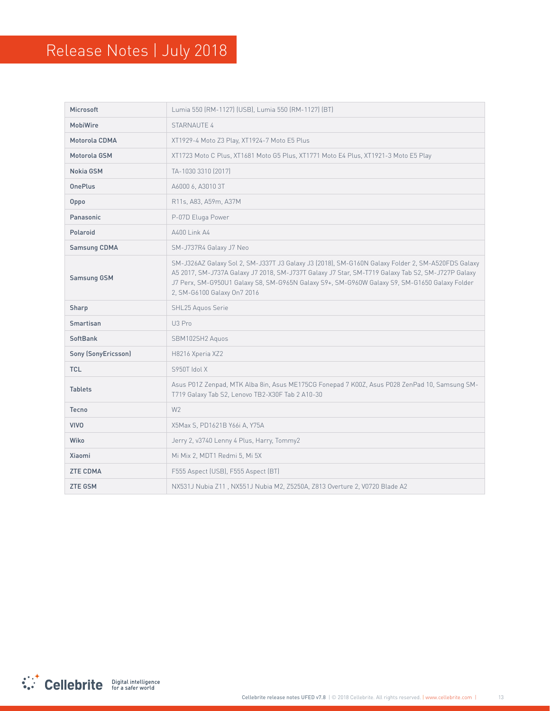| Microsoft           | Lumia 550 (RM-1127) (USB), Lumia 550 (RM-1127) (BT)                                                                                                                                                                                                                                                                                    |  |
|---------------------|----------------------------------------------------------------------------------------------------------------------------------------------------------------------------------------------------------------------------------------------------------------------------------------------------------------------------------------|--|
| <b>MobiWire</b>     | <b>STARNAUTE 4</b>                                                                                                                                                                                                                                                                                                                     |  |
| Motorola CDMA       | XT1929-4 Moto Z3 Play, XT1924-7 Moto E5 Plus                                                                                                                                                                                                                                                                                           |  |
| Motorola GSM        | XT1723 Moto C Plus, XT1681 Moto G5 Plus, XT1771 Moto E4 Plus, XT1921-3 Moto E5 Play                                                                                                                                                                                                                                                    |  |
| Nokia GSM           | TA-1030 3310 [2017]                                                                                                                                                                                                                                                                                                                    |  |
| <b>OnePlus</b>      | A6000 6, A3010 3T                                                                                                                                                                                                                                                                                                                      |  |
| Oppo                | R11s, A83, A59m, A37M                                                                                                                                                                                                                                                                                                                  |  |
| Panasonic           | P-07D Eluga Power                                                                                                                                                                                                                                                                                                                      |  |
| Polaroid            | A400 Link A4                                                                                                                                                                                                                                                                                                                           |  |
| <b>Samsung CDMA</b> | SM-J737R4 Galaxy J7 Neo                                                                                                                                                                                                                                                                                                                |  |
| <b>Samsung GSM</b>  | SM-J326AZ Galaxy Sol 2, SM-J337T J3 Galaxy J3 (2018), SM-G160N Galaxy Folder 2, SM-A520FDS Galaxy<br>A5 2017, SM-J737A Galaxy J7 2018, SM-J737T Galaxy J7 Star, SM-T719 Galaxy Tab S2, SM-J727P Galaxy<br>J7 Perx, SM-G950U1 Galaxy S8, SM-G965N Galaxy S9+, SM-G960W Galaxy S9, SM-G1650 Galaxy Folder<br>2, SM-G6100 Galaxy On7 2016 |  |
| Sharp               | SHL25 Aguos Serie                                                                                                                                                                                                                                                                                                                      |  |
| Smartisan           | U3 Pro                                                                                                                                                                                                                                                                                                                                 |  |
| SoftBank            | SBM102SH2 Aquos                                                                                                                                                                                                                                                                                                                        |  |
| Sony (SonyEricsson) | H8216 Xperia XZ2                                                                                                                                                                                                                                                                                                                       |  |
| <b>TCL</b>          | S950T Idol X                                                                                                                                                                                                                                                                                                                           |  |
| <b>Tablets</b>      | Asus P01Z Zenpad, MTK Alba 8in, Asus ME175CG Fonepad 7 K00Z, Asus P028 ZenPad 10, Samsung SM-<br>T719 Galaxy Tab S2, Lenovo TB2-X30F Tab 2 A10-30                                                                                                                                                                                      |  |
| Tecno               | W <sub>2</sub>                                                                                                                                                                                                                                                                                                                         |  |
| <b>VIVO</b>         | X5Max S, PD1621B Y66i A, Y75A                                                                                                                                                                                                                                                                                                          |  |
| Wiko                | Jerry 2, v3740 Lenny 4 Plus, Harry, Tommy2                                                                                                                                                                                                                                                                                             |  |
| Xiaomi              | Mi Mix 2, MDT1 Redmi 5, Mi 5X                                                                                                                                                                                                                                                                                                          |  |
| <b>ZTE CDMA</b>     | F555 Aspect (USB), F555 Aspect (BT)                                                                                                                                                                                                                                                                                                    |  |
| <b>ZTE GSM</b>      | NX531J Nubia Z11, NX551J Nubia M2, Z5250A, Z813 Overture 2, V0720 Blade A2                                                                                                                                                                                                                                                             |  |